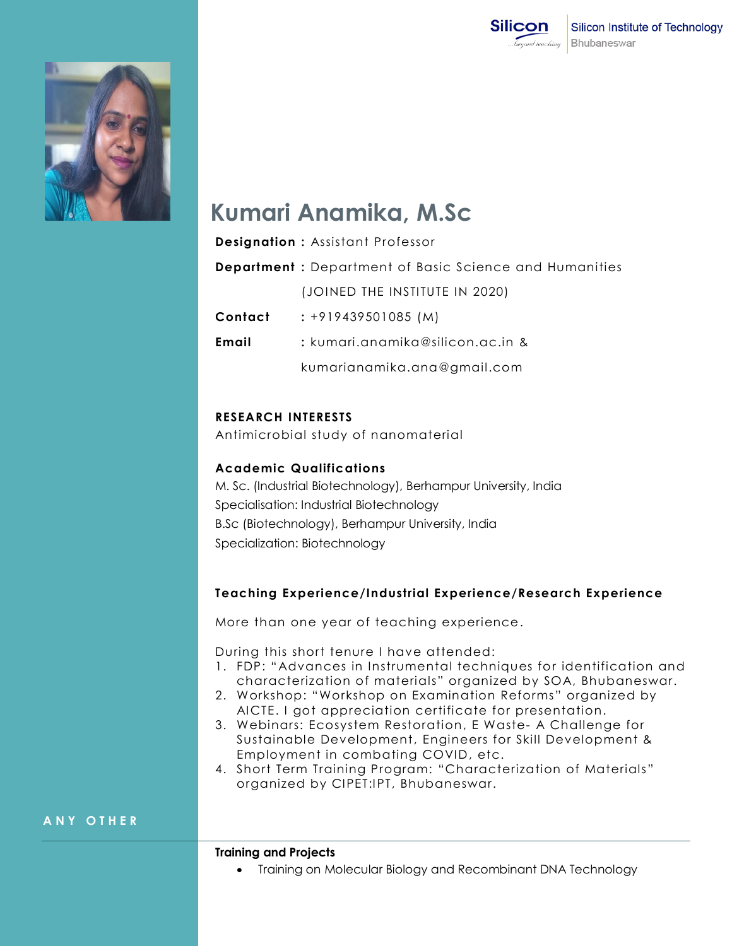



# **Kumari Anamika, M.Sc**

|         | <b>Designation: Assistant Professor</b>                        |
|---------|----------------------------------------------------------------|
|         | <b>Department</b> : Department of Basic Science and Humanities |
|         | (JOINED THE INSTITUTE IN 2020)                                 |
| Contact | $: +919439501085$ (M)                                          |
| Email   | : kumari.anamika@silicon.ac.in &                               |
|         | kumarianamika.ana@gmail.com                                    |

### **RESEARCH INTERESTS**

Antimicrobial study of nanomaterial

## **Academic Qualifications**

M. Sc. (Industrial Biotechnology), Berhampur University, India Specialisation: Industrial Biotechnology B.Sc (Biotechnology), Berhampur University, India Specialization: Biotechnology

#### **Teaching Experience/Industrial Experience/Research Experience**

More than one year of teaching experience.

During this short tenure I have attended:

- 1. FDP: "Advances in Instrumental techniques for identification and characterization of materials" organized by SOA, Bhubaneswar.
- 2. Workshop: "Workshop on Examination Reforms " organized by AICTE. I got appreciation certificate for presentation.
- 3. Webinars: Ecosystem Restoration, E Waste- A Challenge for Sustainable Development, Engineers for Skill Development & Employment in combating COVID, etc.
- 4. Short Term Training Program: "Characterization of Materials" organized by CIPET:IPT, Bhubaneswar.

**A N Y O T H E R**

#### **Training and Projects**

Training on Molecular Biology and Recombinant DNA Technology